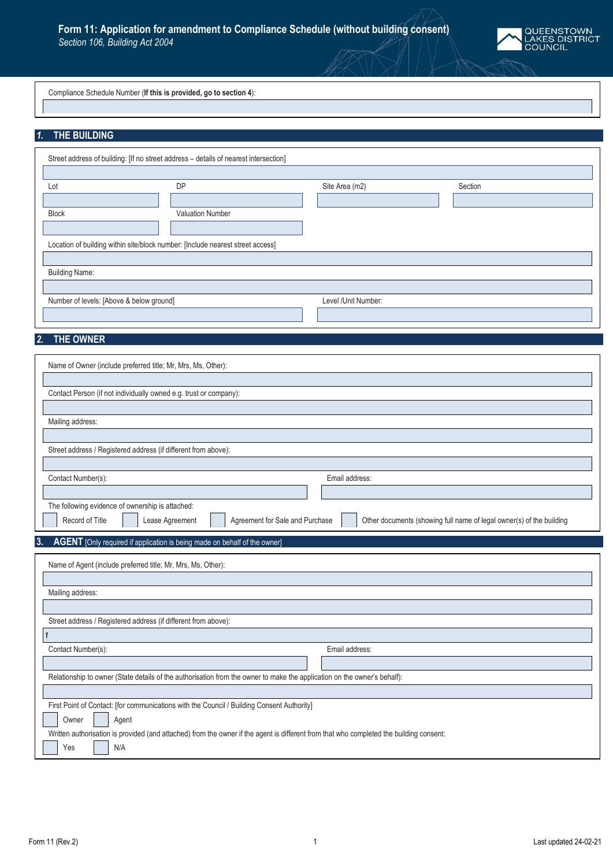

Compliance Schedule Number (**If this is provided, go to section 4**):

## *1.* **THE BUILDING**

|                                          | Street address of building: [If no street address - details of nearest intersection] |                     |         |  |  |  |
|------------------------------------------|--------------------------------------------------------------------------------------|---------------------|---------|--|--|--|
| Lot                                      | <b>DP</b>                                                                            | Site Area (m2)      | Section |  |  |  |
| <b>Block</b>                             | <b>Valuation Number</b>                                                              |                     |         |  |  |  |
|                                          | Location of building within site/block number: [Include nearest street access]       |                     |         |  |  |  |
| <b>Building Name:</b>                    |                                                                                      |                     |         |  |  |  |
| Number of levels: [Above & below ground] |                                                                                      | Level /Unit Number: |         |  |  |  |

## *2.* **THE OWNER**

| Name of Owner (include preferred title; Mr, Mrs, Ms, Other):                                                                            |  |  |  |  |  |  |
|-----------------------------------------------------------------------------------------------------------------------------------------|--|--|--|--|--|--|
|                                                                                                                                         |  |  |  |  |  |  |
| Contact Person (if not individually owned e.g. trust or company):                                                                       |  |  |  |  |  |  |
|                                                                                                                                         |  |  |  |  |  |  |
| Mailing address:                                                                                                                        |  |  |  |  |  |  |
|                                                                                                                                         |  |  |  |  |  |  |
| Street address / Registered address (if different from above):                                                                          |  |  |  |  |  |  |
|                                                                                                                                         |  |  |  |  |  |  |
| Contact Number(s):<br>Email address:                                                                                                    |  |  |  |  |  |  |
|                                                                                                                                         |  |  |  |  |  |  |
| The following evidence of ownership is attached:<br>Record of Title                                                                     |  |  |  |  |  |  |
| Agreement for Sale and Purchase<br>Other documents (showing full name of legal owner(s) of the building<br>Lease Agreement              |  |  |  |  |  |  |
| 3.<br>AGENT [Only required if application is being made on behalf of the owner]                                                         |  |  |  |  |  |  |
| Name of Agent (include preferred title; Mr, Mrs, Ms, Other):                                                                            |  |  |  |  |  |  |
|                                                                                                                                         |  |  |  |  |  |  |
| Mailing address:                                                                                                                        |  |  |  |  |  |  |
|                                                                                                                                         |  |  |  |  |  |  |
| Street address / Registered address (if different from above):                                                                          |  |  |  |  |  |  |
|                                                                                                                                         |  |  |  |  |  |  |
| Contact Number(s):<br>Email address:                                                                                                    |  |  |  |  |  |  |
|                                                                                                                                         |  |  |  |  |  |  |
| Relationship to owner (State details of the authorisation from the owner to make the application on the owner's behalf):                |  |  |  |  |  |  |
|                                                                                                                                         |  |  |  |  |  |  |
| First Point of Contact: [for communications with the Council / Building Consent Authority]                                              |  |  |  |  |  |  |
| Owner<br>Agent                                                                                                                          |  |  |  |  |  |  |
| Written authorisation is provided (and attached) from the owner if the agent is different from that who completed the building consent: |  |  |  |  |  |  |
| N/A<br>Yes                                                                                                                              |  |  |  |  |  |  |